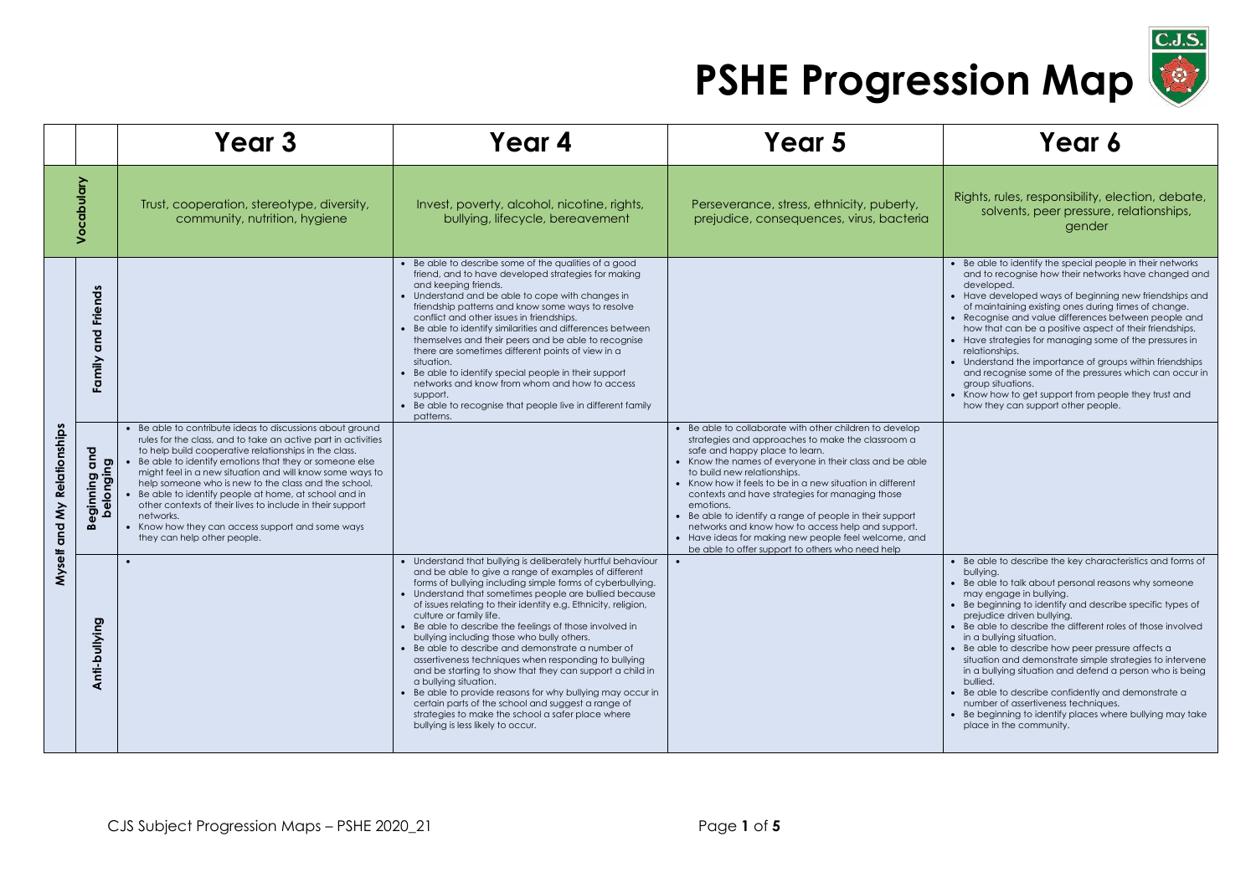

|                             |                                       | Year <sub>3</sub>                                                                                                                                                                                                                                                                                                                                                                                                                                                                                                                                                                        | Year 4                                                                                                                                                                                                                                                                                                                                                                                                                                                                                                                                                                                                                                                                                                                                                                                                                                                             | Year 5                                                                                                                                                                                                                                                                                                                                                                                                                                                                                                                                                                                             | Year 6                                                                                                                                                                                                                                                                                                                                                                                                                                                                                                                                                                                                                                                                                                                          |
|-----------------------------|---------------------------------------|------------------------------------------------------------------------------------------------------------------------------------------------------------------------------------------------------------------------------------------------------------------------------------------------------------------------------------------------------------------------------------------------------------------------------------------------------------------------------------------------------------------------------------------------------------------------------------------|--------------------------------------------------------------------------------------------------------------------------------------------------------------------------------------------------------------------------------------------------------------------------------------------------------------------------------------------------------------------------------------------------------------------------------------------------------------------------------------------------------------------------------------------------------------------------------------------------------------------------------------------------------------------------------------------------------------------------------------------------------------------------------------------------------------------------------------------------------------------|----------------------------------------------------------------------------------------------------------------------------------------------------------------------------------------------------------------------------------------------------------------------------------------------------------------------------------------------------------------------------------------------------------------------------------------------------------------------------------------------------------------------------------------------------------------------------------------------------|---------------------------------------------------------------------------------------------------------------------------------------------------------------------------------------------------------------------------------------------------------------------------------------------------------------------------------------------------------------------------------------------------------------------------------------------------------------------------------------------------------------------------------------------------------------------------------------------------------------------------------------------------------------------------------------------------------------------------------|
| Vocabulary                  |                                       | Trust, cooperation, stereotype, diversity,<br>community, nutrition, hygiene                                                                                                                                                                                                                                                                                                                                                                                                                                                                                                              | Invest, poverty, alcohol, nicotine, rights,<br>bullying, lifecycle, bereavement                                                                                                                                                                                                                                                                                                                                                                                                                                                                                                                                                                                                                                                                                                                                                                                    | Perseverance, stress, ethnicity, puberty,<br>prejudice, consequences, virus, bacteria                                                                                                                                                                                                                                                                                                                                                                                                                                                                                                              | Rights, rules, responsibility, election, debate,<br>solvents, peer pressure, relationships,<br>gender                                                                                                                                                                                                                                                                                                                                                                                                                                                                                                                                                                                                                           |
|                             | <b>Friends</b><br>and<br>Family       |                                                                                                                                                                                                                                                                                                                                                                                                                                                                                                                                                                                          | • Be able to describe some of the qualities of a good<br>friend, and to have developed strategies for making<br>and keeping friends.<br>• Understand and be able to cope with changes in<br>friendship patterns and know some ways to resolve<br>conflict and other issues in friendships.<br>• Be able to identify similarities and differences between<br>themselves and their peers and be able to recognise<br>there are sometimes different points of view in a<br>situation.<br>• Be able to identify special people in their support<br>networks and know from whom and how to access<br>support.<br>• Be able to recognise that people live in different family<br>patterns.                                                                                                                                                                               |                                                                                                                                                                                                                                                                                                                                                                                                                                                                                                                                                                                                    | • Be able to identify the special people in their networks<br>and to recognise how their networks have changed and<br>developed.<br>• Have developed ways of beginning new friendships and<br>of maintaining existing ones during times of change.<br>• Recognise and value differences between people and<br>how that can be a positive aspect of their friendships.<br>• Have strategies for managing some of the pressures in<br>relationships.<br>• Understand the importance of groups within friendships<br>and recognise some of the pressures which can occur in<br>group situations.<br>• Know how to get support from people they trust and<br>how they can support other people.                                     |
| Myself and My Relationships | gup<br>mo puinnige<br>belonging<br>ക് | • Be able to contribute ideas to discussions about ground<br>rules for the class, and to take an active part in activities<br>to help build cooperative relationships in the class.<br>• Be able to identify emotions that they or someone else<br>might feel in a new situation and will know some ways to<br>help someone who is new to the class and the school.<br>Be able to identify people at home, at school and in<br>other contexts of their lives to include in their support<br>networks.<br>• Know how they can access support and some ways<br>they can help other people. |                                                                                                                                                                                                                                                                                                                                                                                                                                                                                                                                                                                                                                                                                                                                                                                                                                                                    | • Be able to collaborate with other children to develop<br>strategies and approaches to make the classroom a<br>safe and happy place to learn.<br>• Know the names of everyone in their class and be able<br>to build new relationships.<br>• Know how it feels to be in a new situation in different<br>contexts and have strategies for managing those<br>emotions.<br>• Be able to identify a range of people in their support<br>networks and know how to access help and support.<br>• Have ideas for making new people feel welcome, and<br>be able to offer support to others who need help |                                                                                                                                                                                                                                                                                                                                                                                                                                                                                                                                                                                                                                                                                                                                 |
|                             | Anti-bullying                         |                                                                                                                                                                                                                                                                                                                                                                                                                                                                                                                                                                                          | • Understand that bullying is deliberately hurtful behaviour<br>and be able to give a range of examples of different<br>forms of bullying including simple forms of cyberbullying.<br>• Understand that sometimes people are bullied because<br>of issues relating to their identity e.g. Ethnicity, religion,<br>culture or family life.<br>• Be able to describe the feelings of those involved in<br>bullying including those who bully others.<br>• Be able to describe and demonstrate a number of<br>assertiveness techniques when responding to bullying<br>and be starting to show that they can support a child in<br>a bullying situation.<br>• Be able to provide reasons for why bullying may occur in<br>certain parts of the school and suggest a range of<br>strategies to make the school a safer place where<br>bullying is less likely to occur. | $\bullet$                                                                                                                                                                                                                                                                                                                                                                                                                                                                                                                                                                                          | • Be able to describe the key characteristics and forms of<br>bullying.<br>• Be able to talk about personal reasons why someone<br>may engage in bullying.<br>• Be beginning to identify and describe specific types of<br>prejudice driven bullying.<br>• Be able to describe the different roles of those involved<br>in a bullying situation.<br>• Be able to describe how peer pressure affects a<br>situation and demonstrate simple strategies to intervene<br>in a bullying situation and defend a person who is being<br>bullied.<br>• Be able to describe confidently and demonstrate a<br>number of assertiveness techniques.<br>• Be beginning to identify places where bullying may take<br>place in the community. |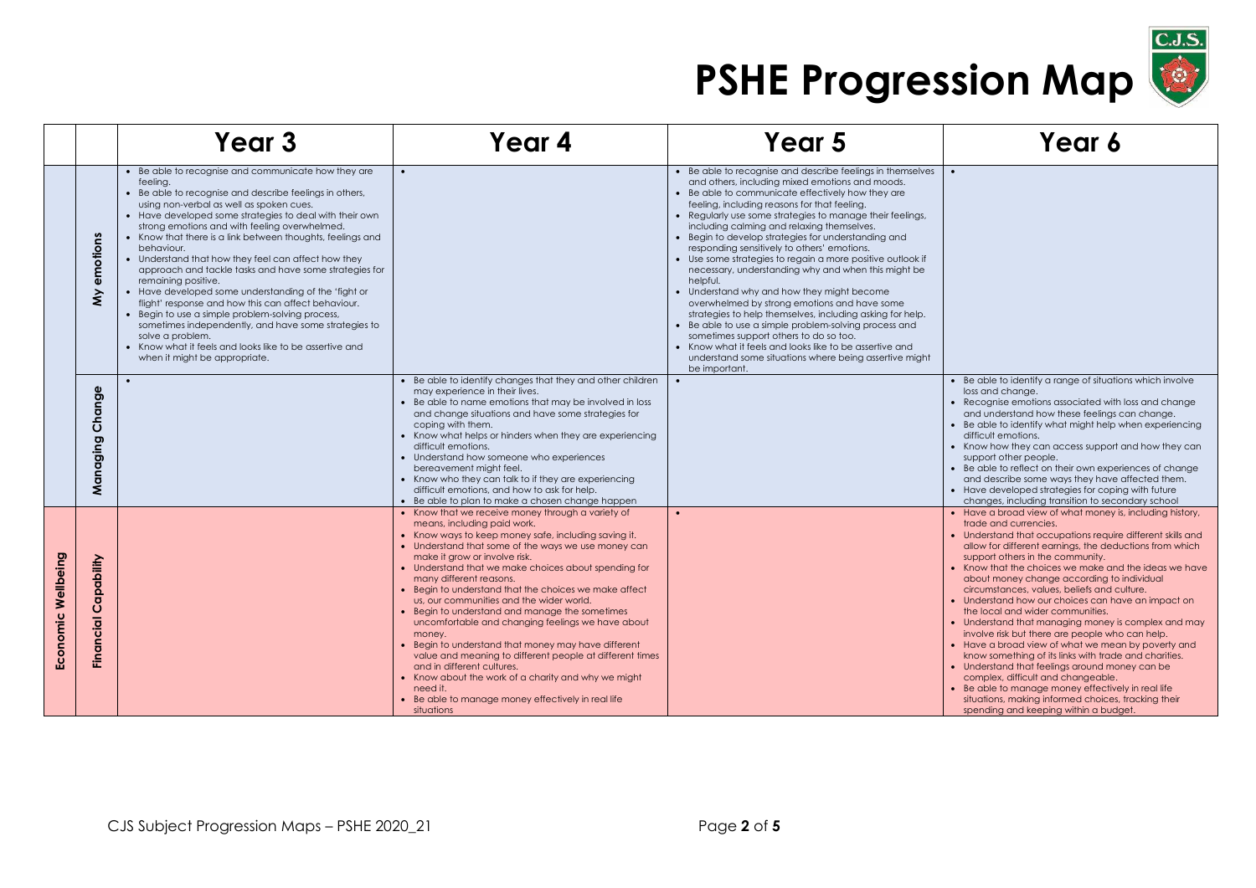

|                    |                                              | Year <sub>3</sub>                                                                                                                                                                                                                                                                                                                                                                                                                                                                                                                                                                                                                                                                                                                                                                                                                                 | Year 4                                                                                                                                                                                                                                                                                                                                                                                                                                                                                                                                                                                                                                                                                                                                                                                                                            | Year 5                                                                                                                                                                                                                                                                                                                                                                                                                                                                                                                                                                                                                                                                                                                                                                                                                                                                                                                                                               | Year 6                                                                                                                                                                                                                                                                                                                                                                                                                                                                                                                                                                                                                                                                                                                                                                                                                                                                                                                                                          |
|--------------------|----------------------------------------------|---------------------------------------------------------------------------------------------------------------------------------------------------------------------------------------------------------------------------------------------------------------------------------------------------------------------------------------------------------------------------------------------------------------------------------------------------------------------------------------------------------------------------------------------------------------------------------------------------------------------------------------------------------------------------------------------------------------------------------------------------------------------------------------------------------------------------------------------------|-----------------------------------------------------------------------------------------------------------------------------------------------------------------------------------------------------------------------------------------------------------------------------------------------------------------------------------------------------------------------------------------------------------------------------------------------------------------------------------------------------------------------------------------------------------------------------------------------------------------------------------------------------------------------------------------------------------------------------------------------------------------------------------------------------------------------------------|----------------------------------------------------------------------------------------------------------------------------------------------------------------------------------------------------------------------------------------------------------------------------------------------------------------------------------------------------------------------------------------------------------------------------------------------------------------------------------------------------------------------------------------------------------------------------------------------------------------------------------------------------------------------------------------------------------------------------------------------------------------------------------------------------------------------------------------------------------------------------------------------------------------------------------------------------------------------|-----------------------------------------------------------------------------------------------------------------------------------------------------------------------------------------------------------------------------------------------------------------------------------------------------------------------------------------------------------------------------------------------------------------------------------------------------------------------------------------------------------------------------------------------------------------------------------------------------------------------------------------------------------------------------------------------------------------------------------------------------------------------------------------------------------------------------------------------------------------------------------------------------------------------------------------------------------------|
|                    | emotions<br>$\hat{\boldsymbol{\varepsilon}}$ | • Be able to recognise and communicate how they are<br>feeling.<br>• Be able to recognise and describe feelings in others,<br>using non-verbal as well as spoken cues.<br>• Have developed some strategies to deal with their own<br>strong emotions and with feeling overwhelmed.<br>• Know that there is a link between thoughts, feelings and<br>behaviour.<br>• Understand that how they feel can affect how they<br>approach and tackle tasks and have some strategies for<br>remaining positive.<br>• Have developed some understanding of the 'fight or<br>flight' response and how this can affect behaviour.<br>• Begin to use a simple problem-solving process,<br>sometimes independently, and have some strategies to<br>solve a problem.<br>• Know what it feels and looks like to be assertive and<br>when it might be appropriate. |                                                                                                                                                                                                                                                                                                                                                                                                                                                                                                                                                                                                                                                                                                                                                                                                                                   | • Be able to recognise and describe feelings in themselves<br>and others, including mixed emotions and moods.<br>• Be able to communicate effectively how they are<br>feeling, including reasons for that feeling.<br>Regularly use some strategies to manage their feelings,<br>including calming and relaxing themselves.<br>Begin to develop strategies for understanding and<br>responding sensitively to others' emotions.<br>• Use some strategies to regain a more positive outlook if<br>necessary, understanding why and when this might be<br>helpful.<br>• Understand why and how they might become<br>overwhelmed by strong emotions and have some<br>strategies to help themselves, including asking for help.<br>• Be able to use a simple problem-solving process and<br>sometimes support others to do so too.<br>• Know what it feels and looks like to be assertive and<br>understand some situations where being assertive might<br>be important. | $\bullet$                                                                                                                                                                                                                                                                                                                                                                                                                                                                                                                                                                                                                                                                                                                                                                                                                                                                                                                                                       |
|                    | Change<br>Managing                           |                                                                                                                                                                                                                                                                                                                                                                                                                                                                                                                                                                                                                                                                                                                                                                                                                                                   | • Be able to identify changes that they and other children<br>may experience in their lives.<br>• Be able to name emotions that may be involved in loss<br>and change situations and have some strategies for<br>coping with them.<br>• Know what helps or hinders when they are experiencing<br>difficult emotions.<br>• Understand how someone who experiences<br>bereavement might feel.<br>• Know who they can talk to if they are experiencing<br>difficult emotions, and how to ask for help.<br>• Be able to plan to make a chosen change happen                                                                                                                                                                                                                                                                           |                                                                                                                                                                                                                                                                                                                                                                                                                                                                                                                                                                                                                                                                                                                                                                                                                                                                                                                                                                      | • Be able to identify a range of situations which involve<br>loss and change.<br>• Recognise emotions associated with loss and change<br>and understand how these feelings can change.<br>Be able to identify what might help when experiencing<br>difficult emotions.<br>• Know how they can access support and how they can<br>support other people.<br>• Be able to reflect on their own experiences of change<br>and describe some ways they have affected them.<br>• Have developed strategies for coping with future<br>changes, including transition to secondary school                                                                                                                                                                                                                                                                                                                                                                                 |
| Economic Wellbeing | apability<br>Õ<br>Financial                  |                                                                                                                                                                                                                                                                                                                                                                                                                                                                                                                                                                                                                                                                                                                                                                                                                                                   | • Know that we receive money through a variety of<br>means, including paid work.<br>• Know ways to keep money safe, including saving it.<br>• Understand that some of the ways we use money can<br>make it grow or involve risk.<br>• Understand that we make choices about spending for<br>many different reasons.<br>• Begin to understand that the choices we make affect<br>us, our communities and the wider world.<br>• Begin to understand and manage the sometimes<br>uncomfortable and changing feelings we have about<br>money.<br>• Begin to understand that money may have different<br>value and meaning to different people at different times<br>and in different cultures.<br>• Know about the work of a charity and why we might<br>need it.<br>• Be able to manage money effectively in real life<br>situations |                                                                                                                                                                                                                                                                                                                                                                                                                                                                                                                                                                                                                                                                                                                                                                                                                                                                                                                                                                      | • Have a broad view of what money is, including history,<br>trade and currencies.<br>• Understand that occupations require different skills and<br>allow for different earnings, the deductions from which<br>support others in the community.<br>Know that the choices we make and the ideas we have<br>about money change according to individual<br>circumstances, values, beliefs and culture.<br>Understand how our choices can have an impact on<br>the local and wider communities.<br>• Understand that managing money is complex and may<br>involve risk but there are people who can help.<br>• Have a broad view of what we mean by poverty and<br>know something of its links with trade and charities.<br>• Understand that feelings around money can be<br>complex, difficult and changeable.<br>Be able to manage money effectively in real life<br>situations, making informed choices, tracking their<br>spending and keeping within a budget. |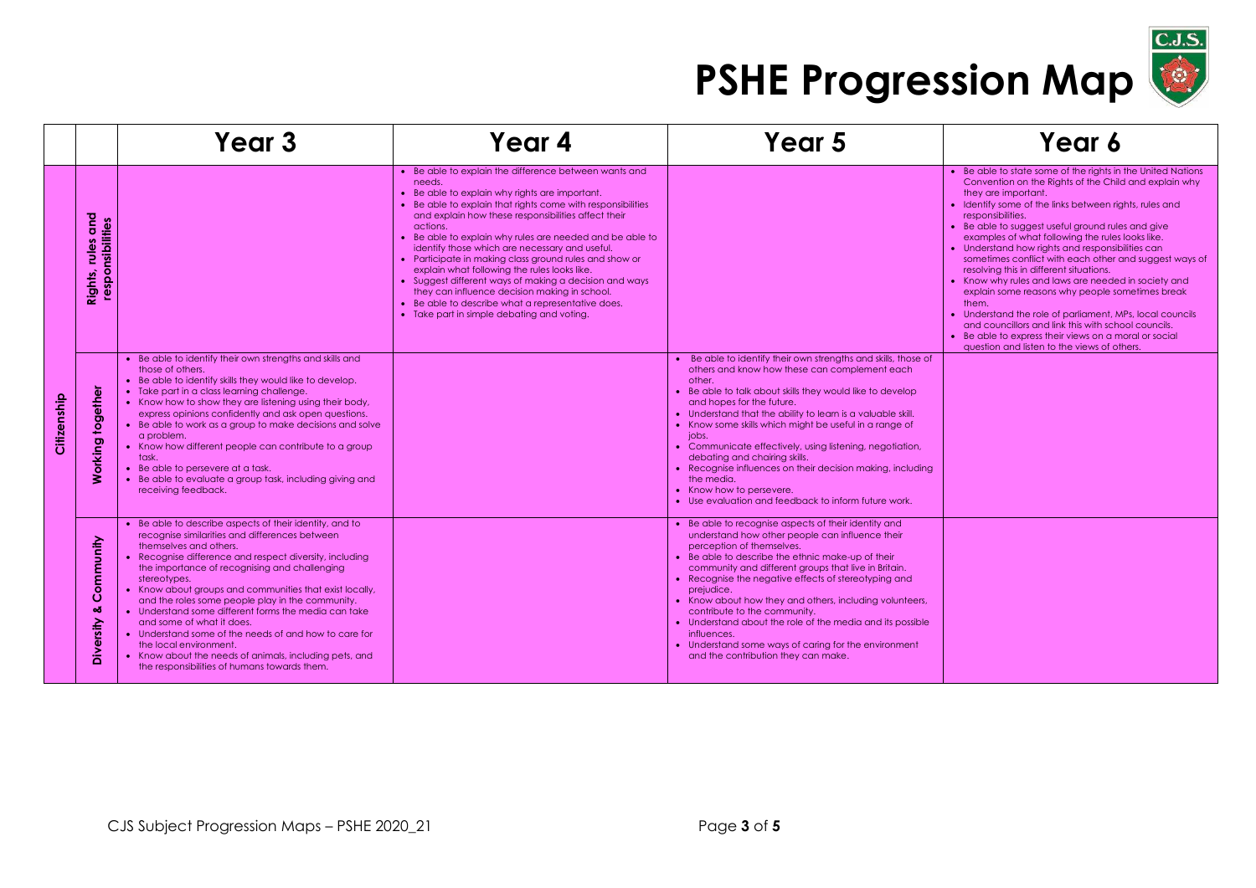

|             |                                                    | Year 3                                                                                                                                                                                                                                                                                                                                                                                                                                                                                                                                                                                                                                                           | Year 4                                                                                                                                                                                                                                                                                                                                                                                                                                                                                                                                                                                                                                                                                    | Year 5                                                                                                                                                                                                                                                                                                                                                                                                                                                                                                                                                                                                           | Year 6                                                                                                                                                                                                                                                                                                                                                                                                                                                                                                                                                                                                                                                                                                                                                                                                                                 |
|-------------|----------------------------------------------------|------------------------------------------------------------------------------------------------------------------------------------------------------------------------------------------------------------------------------------------------------------------------------------------------------------------------------------------------------------------------------------------------------------------------------------------------------------------------------------------------------------------------------------------------------------------------------------------------------------------------------------------------------------------|-------------------------------------------------------------------------------------------------------------------------------------------------------------------------------------------------------------------------------------------------------------------------------------------------------------------------------------------------------------------------------------------------------------------------------------------------------------------------------------------------------------------------------------------------------------------------------------------------------------------------------------------------------------------------------------------|------------------------------------------------------------------------------------------------------------------------------------------------------------------------------------------------------------------------------------------------------------------------------------------------------------------------------------------------------------------------------------------------------------------------------------------------------------------------------------------------------------------------------------------------------------------------------------------------------------------|----------------------------------------------------------------------------------------------------------------------------------------------------------------------------------------------------------------------------------------------------------------------------------------------------------------------------------------------------------------------------------------------------------------------------------------------------------------------------------------------------------------------------------------------------------------------------------------------------------------------------------------------------------------------------------------------------------------------------------------------------------------------------------------------------------------------------------------|
|             | and<br>responsibilities<br>s.<br>ω<br>έ<br>Rights, |                                                                                                                                                                                                                                                                                                                                                                                                                                                                                                                                                                                                                                                                  | • Be able to explain the difference between wants and<br>needs.<br>• Be able to explain why rights are important.<br>• Be able to explain that rights come with responsibilities<br>and explain how these responsibilities affect their<br>actions.<br>• Be able to explain why rules are needed and be able to<br>identify those which are necessary and useful.<br>• Participate in making class ground rules and show or<br>explain what following the rules looks like.<br>• Suggest different ways of making a decision and ways<br>they can influence decision making in school.<br>• Be able to describe what a representative does.<br>• Take part in simple debating and voting. |                                                                                                                                                                                                                                                                                                                                                                                                                                                                                                                                                                                                                  | • Be able to state some of the rights in the United Nations<br>Convention on the Rights of the Child and explain why<br>they are important.<br>• Identify some of the links between rights, rules and<br>responsibilities.<br>Be able to suggest useful ground rules and give<br>examples of what following the rules looks like.<br>• Understand how rights and responsibilities can<br>sometimes conflict with each other and suggest ways of<br>resolving this in different situations.<br>• Know why rules and laws are needed in society and<br>explain some reasons why people sometimes break<br>them.<br>Understand the role of parliament, MPs, local councils<br>and councillors and link this with school councils.<br>• Be able to express their views on a moral or social<br>question and listen to the views of others. |
| Citizenship | together<br>king                                   | • Be able to identify their own strengths and skills and<br>those of others.<br>• Be able to identify skills they would like to develop.<br>• Take part in a class learning challenge.<br>• Know how to show they are listening using their body,<br>express opinions confidently and ask open questions.<br>• Be able to work as a group to make decisions and solve<br>a problem.<br>• Know how different people can contribute to a group<br>task.<br>• Be able to persevere at a task.<br>• Be able to evaluate a group task, including giving and<br>receiving feedback.                                                                                    |                                                                                                                                                                                                                                                                                                                                                                                                                                                                                                                                                                                                                                                                                           | • Be able to identify their own strengths and skills, those of<br>others and know how these can complement each<br>other.<br>Be able to talk about skills they would like to develop<br>and hopes for the future.<br>• Understand that the ability to learn is a valuable skill.<br>• Know some skills which might be useful in a range of<br>jobs.<br>• Communicate effectively, using listening, negotiation,<br>debating and chairing skills.<br>• Recognise influences on their decision making, including<br>the media.<br>• Know how to persevere.<br>• Use evaluation and feedback to inform future work. |                                                                                                                                                                                                                                                                                                                                                                                                                                                                                                                                                                                                                                                                                                                                                                                                                                        |
|             | ommunity<br>Ω<br>ಹ<br>ersity<br>ăά                 | • Be able to describe aspects of their identity, and to<br>recognise similarities and differences between<br>themselves and others.<br>• Recognise difference and respect diversity, including<br>the importance of recognising and challenging<br>stereotypes.<br>• Know about groups and communities that exist locally,<br>and the roles some people play in the community.<br>• Understand some different forms the media can take<br>and some of what it does.<br>• Understand some of the needs of and how to care for<br>the local environment.<br>• Know about the needs of animals, including pets, and<br>the responsibilities of humans towards them. |                                                                                                                                                                                                                                                                                                                                                                                                                                                                                                                                                                                                                                                                                           | • Be able to recognise aspects of their identity and<br>understand how other people can influence their<br>perception of themselves.<br>Be able to describe the ethnic make-up of their<br>community and different groups that live in Britain.<br>Recognise the negative effects of stereotyping and<br>prejudice.<br>• Know about how they and others, including volunteers,<br>contribute to the community.<br>• Understand about the role of the media and its possible<br>influences.<br>• Understand some ways of caring for the environment<br>and the contribution they can make.                        |                                                                                                                                                                                                                                                                                                                                                                                                                                                                                                                                                                                                                                                                                                                                                                                                                                        |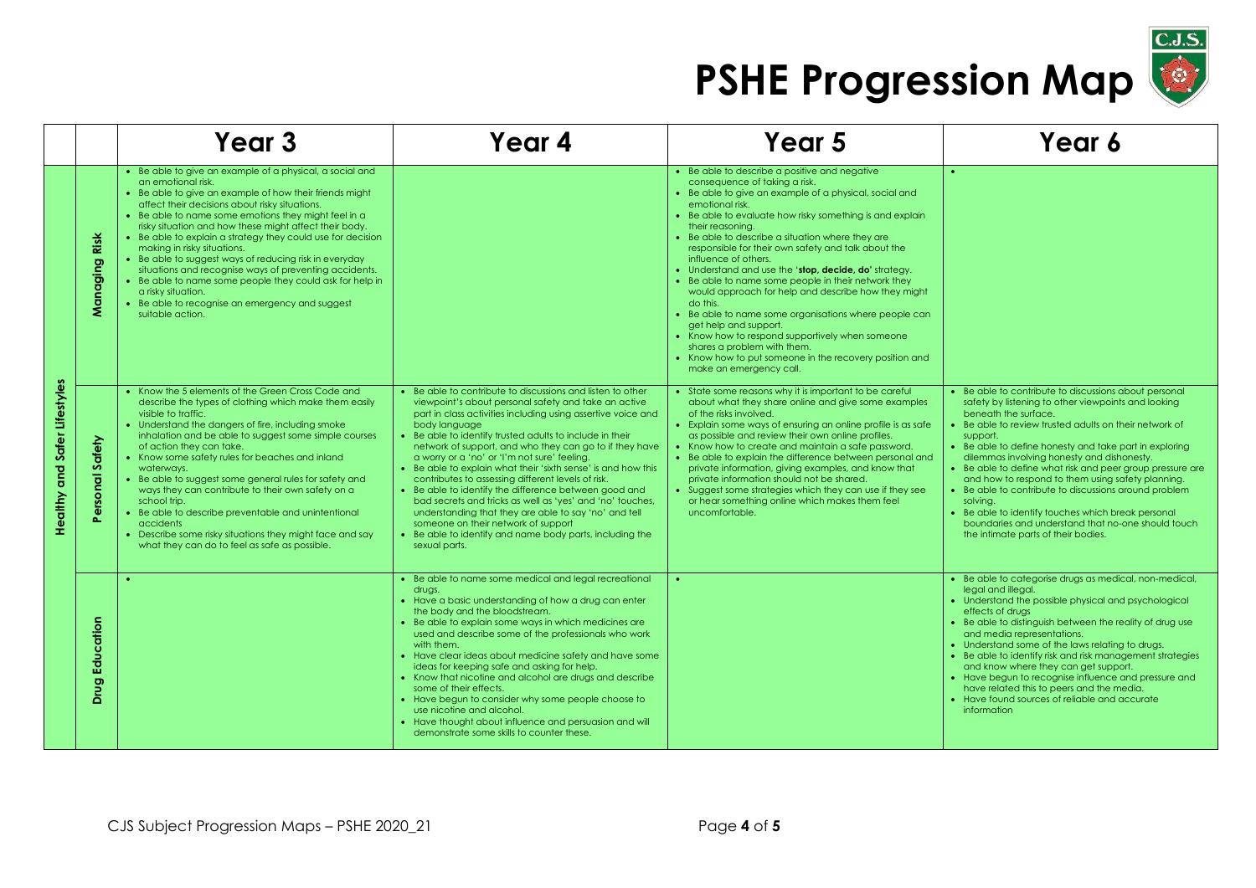

|                              |                      | Year <sub>3</sub>                                                                                                                                                                                                                                                                                                                                                                                                                                                                                                                                                                                                                                                                        | Year 4                                                                                                                                                                                                                                                                                                                                                                                                                                                                                                                                                                                                                                                                                                                                                                                           | Year <sub>5</sub>                                                                                                                                                                                                                                                                                                                                                                                                                                                                                                                                                                                                                                                                                                                                                                                                          | Year 6                                                                                                                                                                                                                                                                                                                                                                                                                                                                                                                                                                                                                                               |
|------------------------------|----------------------|------------------------------------------------------------------------------------------------------------------------------------------------------------------------------------------------------------------------------------------------------------------------------------------------------------------------------------------------------------------------------------------------------------------------------------------------------------------------------------------------------------------------------------------------------------------------------------------------------------------------------------------------------------------------------------------|--------------------------------------------------------------------------------------------------------------------------------------------------------------------------------------------------------------------------------------------------------------------------------------------------------------------------------------------------------------------------------------------------------------------------------------------------------------------------------------------------------------------------------------------------------------------------------------------------------------------------------------------------------------------------------------------------------------------------------------------------------------------------------------------------|----------------------------------------------------------------------------------------------------------------------------------------------------------------------------------------------------------------------------------------------------------------------------------------------------------------------------------------------------------------------------------------------------------------------------------------------------------------------------------------------------------------------------------------------------------------------------------------------------------------------------------------------------------------------------------------------------------------------------------------------------------------------------------------------------------------------------|------------------------------------------------------------------------------------------------------------------------------------------------------------------------------------------------------------------------------------------------------------------------------------------------------------------------------------------------------------------------------------------------------------------------------------------------------------------------------------------------------------------------------------------------------------------------------------------------------------------------------------------------------|
|                              | Risk<br>anaging<br>z | • Be able to give an example of a physical, a social and<br>an emotional risk.<br>• Be able to give an example of how their friends might<br>affect their decisions about risky situations.<br>• Be able to name some emotions they might feel in a<br>risky situation and how these might affect their body.<br>• Be able to explain a strategy they could use for decision<br>making in risky situations.<br>• Be able to suggest ways of reducing risk in everyday<br>situations and recognise ways of preventing accidents.<br>• Be able to name some people they could ask for help in<br>a risky situation.<br>• Be able to recognise an emergency and suggest<br>suitable action. |                                                                                                                                                                                                                                                                                                                                                                                                                                                                                                                                                                                                                                                                                                                                                                                                  | • Be able to describe a positive and negative<br>consequence of taking a risk.<br>• Be able to give an example of a physical, social and<br>emotional risk.<br>• Be able to evaluate how risky something is and explain<br>their reasoning.<br>• Be able to describe a situation where they are<br>responsible for their own safety and talk about the<br>influence of others.<br>• Understand and use the 'stop, decide, do' strategy.<br>• Be able to name some people in their network they<br>would approach for help and describe how they might<br>do this.<br>• Be able to name some organisations where people can<br>get help and support.<br>• Know how to respond supportively when someone<br>shares a problem with them.<br>• Know how to put someone in the recovery position and<br>make an emergency call. |                                                                                                                                                                                                                                                                                                                                                                                                                                                                                                                                                                                                                                                      |
| Healthy and Safer Lifestyles | Safety<br>ㅎ<br>န     | • Know the 5 elements of the Green Cross Code and<br>describe the types of clothing which make them easily<br>visible to traffic.<br>• Understand the dangers of fire, including smoke<br>inhalation and be able to suggest some simple courses<br>of action they can take.<br>• Know some safety rules for beaches and inland<br>waterways.<br>Be able to suggest some general rules for safety and<br>ways they can contribute to their own safety on a<br>school trip.<br>• Be able to describe preventable and unintentional<br>accidents<br>Describe some risky situations they might face and say<br>what they can do to feel as safe as possible.                                 | • Be able to contribute to discussions and listen to other<br>viewpoint's about personal safety and take an active<br>part in class activities including using assertive voice and<br>body language<br>Be able to identify trusted adults to include in their<br>network of support, and who they can go to if they have<br>a worry or a 'no' or 'I'm not sure' feeling.<br>Be able to explain what their 'sixth sense' is and how this<br>contributes to assessing different levels of risk.<br>• Be able to identify the difference between good and<br>bad secrets and tricks as well as 'yes' and 'no' touches,<br>understanding that they are able to say 'no' and tell<br>someone on their network of support<br>• Be able to identify and name body parts, including the<br>sexual parts. | • State some reasons why it is important to be careful<br>about what they share online and give some examples<br>of the risks involved.<br>• Explain some ways of ensuring an online profile is as safe<br>as possible and review their own online profiles.<br>• Know how to create and maintain a safe password.<br>• Be able to explain the difference between personal and<br>private information, giving examples, and know that<br>private information should not be shared.<br>• Suggest some strategies which they can use if they see<br>or hear something online which makes them feel<br>uncomfortable.                                                                                                                                                                                                         | • Be able to contribute to discussions about personal<br>safety by listening to other viewpoints and looking<br>beneath the surface.<br>Be able to review trusted adults on their network of<br>support.<br>Be able to define honesty and take part in exploring<br>dilemmas involving honesty and dishonesty.<br>Be able to define what risk and peer group pressure are<br>and how to respond to them using safety planning.<br>• Be able to contribute to discussions around problem<br>solving.<br>Be able to identify touches which break personal<br>boundaries and understand that no-one should touch<br>the intimate parts of their bodies. |
|                              | Education<br>Drug    |                                                                                                                                                                                                                                                                                                                                                                                                                                                                                                                                                                                                                                                                                          | Be able to name some medical and legal recreational<br>drugs.<br>• Have a basic understanding of how a drug can enter<br>the body and the bloodstream.<br>Be able to explain some ways in which medicines are<br>used and describe some of the professionals who work<br>with them.<br>• Have clear ideas about medicine safety and have some<br>ideas for keeping safe and asking for help.<br>• Know that nicotine and alcohol are drugs and describe<br>some of their effects.<br>• Have begun to consider why some people choose to<br>use nicotine and alcohol.<br>• Have thought about influence and persuasion and will<br>demonstrate some skills to counter these.                                                                                                                      |                                                                                                                                                                                                                                                                                                                                                                                                                                                                                                                                                                                                                                                                                                                                                                                                                            | • Be able to categorise drugs as medical, non-medical,<br>legal and illegal.<br>• Understand the possible physical and psychological<br>effects of drugs<br>Be able to distinguish between the reality of drug use<br>and media representations.<br>• Understand some of the laws relating to drugs.<br>Be able to identify risk and risk management strategies<br>and know where they can get support.<br>• Have begun to recognise influence and pressure and<br>have related this to peers and the media.<br>Have found sources of reliable and accurate<br>information                                                                           |